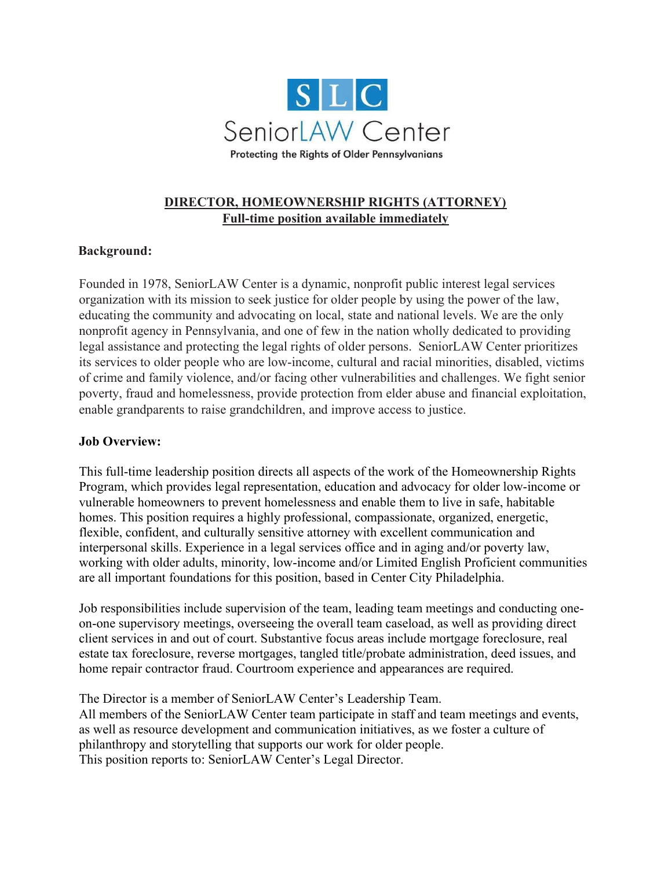

# DIRECTOR, HOMEOWNERSHIP RIGHTS (ATTORNEY) Full-time position available immediately

# Background:

Founded in 1978, SeniorLAW Center is a dynamic, nonprofit public interest legal services organization with its mission to seek justice for older people by using the power of the law, educating the community and advocating on local, state and national levels. We are the only nonprofit agency in Pennsylvania, and one of few in the nation wholly dedicated to providing legal assistance and protecting the legal rights of older persons. SeniorLAW Center prioritizes its services to older people who are low-income, cultural and racial minorities, disabled, victims of crime and family violence, and/or facing other vulnerabilities and challenges. We fight senior poverty, fraud and homelessness, provide protection from elder abuse and financial exploitation, enable grandparents to raise grandchildren, and improve access to justice.

### Job Overview:

This full-time leadership position directs all aspects of the work of the Homeownership Rights Program, which provides legal representation, education and advocacy for older low-income or vulnerable homeowners to prevent homelessness and enable them to live in safe, habitable homes. This position requires a highly professional, compassionate, organized, energetic, flexible, confident, and culturally sensitive attorney with excellent communication and interpersonal skills. Experience in a legal services office and in aging and/or poverty law, working with older adults, minority, low-income and/or Limited English Proficient communities are all important foundations for this position, based in Center City Philadelphia.

Job responsibilities include supervision of the team, leading team meetings and conducting oneon-one supervisory meetings, overseeing the overall team caseload, as well as providing direct client services in and out of court. Substantive focus areas include mortgage foreclosure, real estate tax foreclosure, reverse mortgages, tangled title/probate administration, deed issues, and home repair contractor fraud. Courtroom experience and appearances are required.

The Director is a member of SeniorLAW Center's Leadership Team. All members of the SeniorLAW Center team participate in staff and team meetings and events, as well as resource development and communication initiatives, as we foster a culture of philanthropy and storytelling that supports our work for older people. This position reports to: SeniorLAW Center's Legal Director.